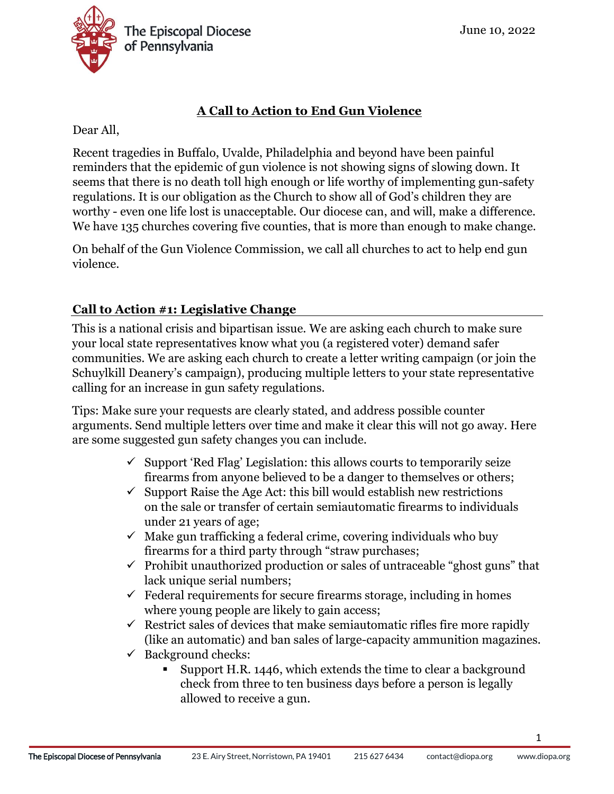

## **A Call to Action to End Gun Violence**

Dear All,

Recent tragedies in Buffalo, Uvalde, Philadelphia and beyond have been painful reminders that the epidemic of gun violence is not showing signs of slowing down. It seems that there is no death toll high enough or life worthy of implementing gun-safety regulations. It is our obligation as the Church to show all of God's children they are worthy - even one life lost is unacceptable. Our diocese can, and will, make a difference. We have 135 churches covering five counties, that is more than enough to make change.

On behalf of the Gun Violence Commission, we call all churches to act to help end gun violence.

## **Call to Action #1: Legislative Change**

This is a national crisis and bipartisan issue. We are asking each church to make sure your local state representatives know what you (a registered voter) demand safer communities. We are asking each church to create a letter writing campaign (or join the Schuylkill Deanery's campaign), producing multiple letters to your state representative calling for an increase in gun safety regulations.

Tips: Make sure your requests are clearly stated, and address possible counter arguments. Send multiple letters over time and make it clear this will not go away. Here are some suggested gun safety changes you can include.

- $\checkmark$  Support 'Red Flag' Legislation: this allows courts to temporarily seize firearms from anyone believed to be a danger to themselves or others;
- $\checkmark$  Support Raise the Age Act: this bill would establish new restrictions on the sale or transfer of certain semiautomatic firearms to individuals under 21 years of age;
- $\checkmark$  Make gun trafficking a federal crime, covering individuals who buv firearms for a third party through "straw purchases;
- $\checkmark$  Prohibit unauthorized production or sales of untraceable "ghost guns" that lack unique serial numbers;
- $\checkmark$  Federal requirements for secure firearms storage, including in homes where young people are likely to gain access;
- $\checkmark$  Restrict sales of devices that make semiautomatic rifles fire more rapidly (like an automatic) and ban sales of large-capacity ammunition magazines.
- $\checkmark$  Background checks:
	- Support H.R. 1446, which extends the time to clear a background check from three to ten business days before a person is legally allowed to receive a gun.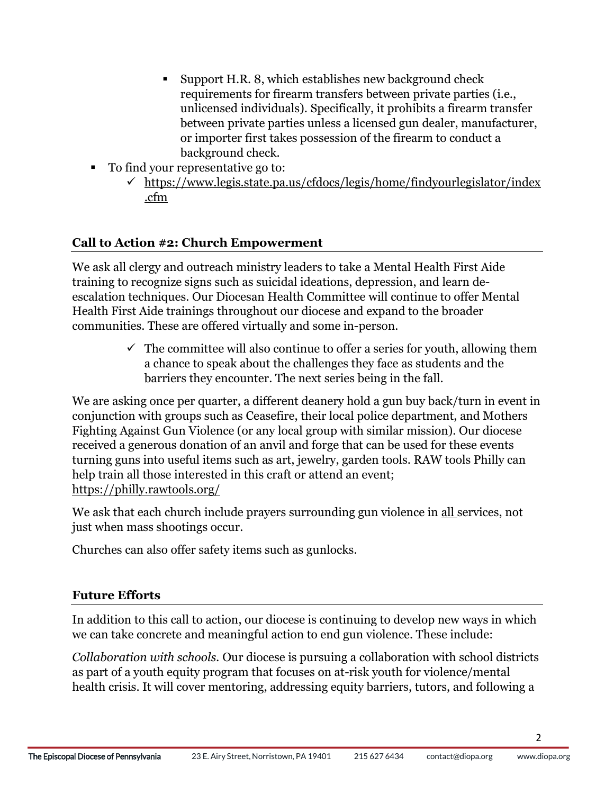- Support H.R. 8, which establishes new background check requirements for firearm transfers between private parties (i.e., unlicensed individuals). Specifically, it prohibits a firearm transfer between private parties unless a licensed gun dealer, manufacturer, or importer first takes possession of the firearm to conduct a background check.
- To find your representative go to:
	- ✓ [https://www.legis.state.pa.us/cfdocs/legis/home/findyourlegislator/index](https://www.legis.state.pa.us/cfdocs/legis/home/findyourlegislator/index.cfm) [.cfm](https://www.legis.state.pa.us/cfdocs/legis/home/findyourlegislator/index.cfm)

## **Call to Action #2: Church Empowerment**

We ask all clergy and outreach ministry leaders to take a Mental Health First Aide training to recognize signs such as suicidal ideations, depression, and learn deescalation techniques. Our Diocesan Health Committee will continue to offer Mental Health First Aide trainings throughout our diocese and expand to the broader communities. These are offered virtually and some in-person.

> $\checkmark$  The committee will also continue to offer a series for youth, allowing them a chance to speak about the challenges they face as students and the barriers they encounter. The next series being in the fall.

We are asking once per quarter, a different deanery hold a gun buy back/turn in event in conjunction with groups such as Ceasefire, their local police department, and Mothers Fighting Against Gun Violence (or any local group with similar mission). Our diocese received a generous donation of an anvil and forge that can be used for these events turning guns into useful items such as art, jewelry, garden tools. RAW tools Philly can help train all those interested in this craft or attend an event; <https://philly.rawtools.org/>

We ask that each church include prayers surrounding gun violence in all services, not just when mass shootings occur.

Churches can also offer safety items such as gunlocks.

## **Future Efforts**

In addition to this call to action, our diocese is continuing to develop new ways in which we can take concrete and meaningful action to end gun violence. These include:

*Collaboration with schools.* Our diocese is pursuing a collaboration with school districts as part of a youth equity program that focuses on at-risk youth for violence/mental health crisis. It will cover mentoring, addressing equity barriers, tutors, and following a